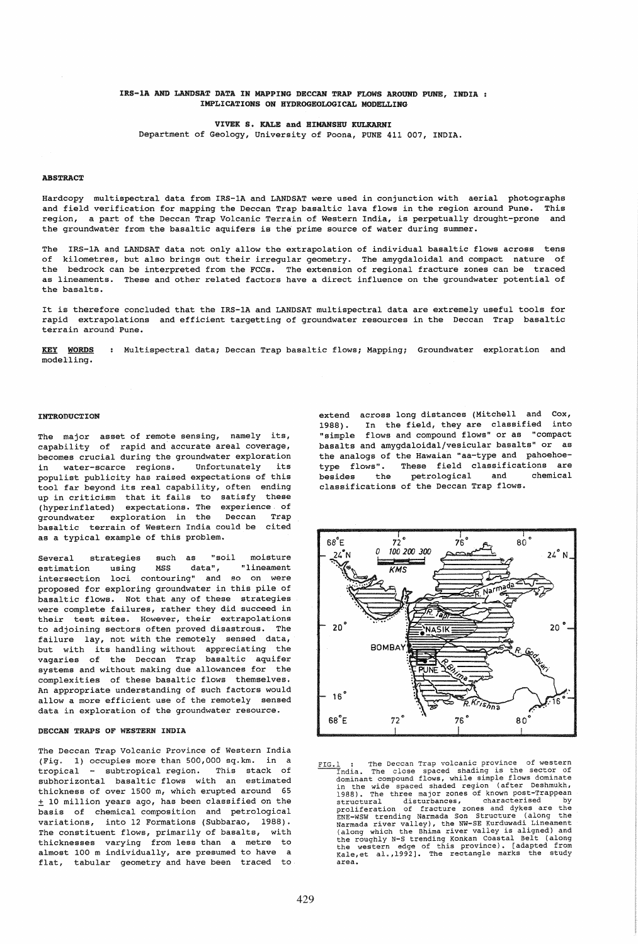## IRS-IA AND LANDSAT DATA IN MAPPING DECCAN TRAP FLOWS AROUND PURE, INDIA IMPLICATIONS ON HYDROGEOLOGICAL MODELLING

VIVEK S. KALE and HIMANSHU KULKARNI

Department of Geology, University of Poona, PUNE 411 007, INDIA.

#### ABSTRACT

Hardcopy multispectral data from IRS-1A and LANDSAT were used in conjunction with aerial photographs and field verification for mapping the Deccan Trap basaltic lava flows in the region around Pune. This region, a part of the Deccan Trap Volcanic Terrain of western India, is perpetually drought-prone and the groundwater from the basaltic aquifers is the prime source of water during summer.

The IRS-1A and LANDSAT data not only allow the extrapolation of individual basaltic flows across tens of kilometres, but also brings out their irregular geometry. The amygdaloidal and compact nature of the bedrock can be interpreted from the FCCs. The extension of regional fracture zones can be traced as lineaments. These and other related factors have a direct influence on the groundwater potential of the basalts.

It is therefore concluded that the IRS-1A and LANDSAT multispectral data are extremely useful tools for rapid extrapolations and efficient targetting of groundwater resources in the Deccan Trap basaltic terrain around Pune.

KEY WORDS modelling. : Multispectral data; Deccan Trap basaltic flows; Mapping; Groundwater exploration and

### INTRODUCTION

The major asset of remote sensing, namely its, capability of rapid and accurate areal coverage, becomes crucial during the groundwater exploration<br>in water-scarce regions. Unfortunately its in water-scarce regions. populist publicity has raised expectations of this tool far beyond its real capability, often ending up in criticism that it fails to satisfy these (hyperinflated) expectations. The experience of<br>
oroundwater exploration in the Deccan Trap groundwater exploration in the Deccan basaltic terrain of Western India could be cited as a typical example of this problem.

Several strategies such as "soil moisture<br>estimation using MSS data", "lineament estimation using MSS data", "lineament intersection loci contouring" and so on were proposed for exploring groundwater in this pile of basaltic flows. Not that any of these strategies were complete failures, rather they did succeed in their test sites. However, their extrapolations to adjoining sectors often proved disastrous. The failure lay, not with the remotely sensed data, but with its handling without appreciating the vagaries of the Deccan Trap basaltic aquifer systems and without making due allowances for the complexities of these basaltic flows themselves. An appropriate understanding of such factors would allow a more efficient use of the remotely sensed data in exploration of the groundwater resource.

#### DECCAN TRAPS OF WESTERN INDIA

The Deccan Trap Volcanic Province of Western India (Fig. 1) occupies more than 500,000 sq.km. in a tropical - subtropical region. This stack of subhorizontal basaltic flows with an estimated thickness of over 1500 m, which erupted around 65 ± 10 million years ago, has been classified on the basis of chemical composition and petrological variations, into 12 Formations (Subbarao, 1988). The constituent flows, primarily of basalts, with thicknesses varying from less than a metre to almost 100 m individually, are presumed to have a flat, tabular geometry and have been traced to extend across long distances (Mitchell and Cox, 1988). In the field, they are classified into "simple flows and compound flows" or as "compact basalts and amygdaloidal/vesicular basalts" or as the analogs of the Hawaian "aa-type and pahoehoetype flows". These field classifications are<br>besides the petrological and chemical besides the petrological and classifications of the Deccan Trap flows.



FIG.1 : The Deccan Trap volcanic province of western<br>
India. The close spaced shading is the sector of<br>
dominant compound flows, while simple flows dominate when the wide spaced shaded region (after Deshmukh, 1988). The three major zones of known post-Trappean<br>in the wide spaced shaded region (after Deshmukh, 1988). The three major zones of characterised by<br>proliferation of fr area.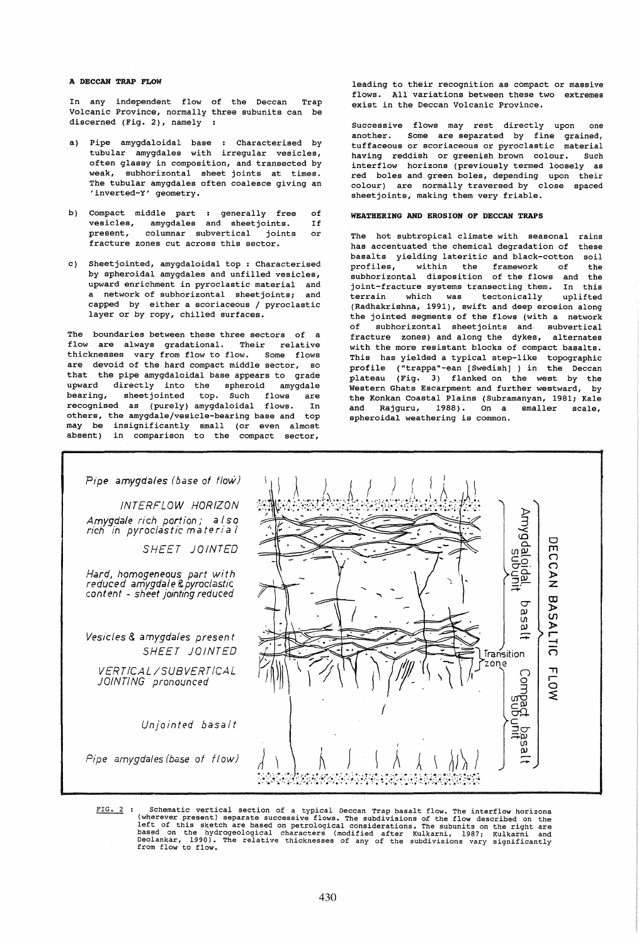## A DECCAN TRAP FLOW

In any independent flow of the Deccan Volcanic Province, normally three subunits can be discerned (Fig. 2), namely Trap

- a) Pipe amygdaloidal base : Characterised by tubular amygdales with irregular vesicles, often glassy in composition, and transected by weak, subhorizontal sheet joints at times. The tubular amygdales often coalesce giving an 'inverted-Y' geometry.
- b) Compact middle part : generally free of<br>vesicles, amvodales and sheetioints. If vesicles, amygdales and sheetjoints.<br>present, columnar subvertical joints columnar subvertical joints or fracture zones cut across this sector.
- c) Sheet jointed, amygdaloidal top : Characterised by spheroidal amygdales and unfilled vesicles, upward enrichment in pyroclastic material and a network of subhorizontal sheetjoints; and capped by either a scoriaceous / pyroclastic layer or by ropy, chilled surfaces.

The boundaries between these three sectors of a flow are always gradational. Their relative thicknesses vary from flow to flow. Some flows are devoid of the hard compact middle sector, so that the pipe amygdaloidal base appears to grade upward directly into the spheroid amygdale bearing, sheetjointed top. Such flows are recognised as (purely) amygdaloidal flows. In others, the amygdale/vesicle-bearing base and top may be insignificantly small (or even almost absent) in comparison to the compact sector,

leading to their recognition as compact or massive flows. All variations between these two extremes exist in the Deccan Volcanic Province.

Successive flows may rest directly upon one another. Some are separated by fine grained, tuffaceous or scoriaceous or pyroclastic material having reddish or greenish brown colour. Such interflow horizons (previously termed loosely as red boles and green boles, depending upon their colour) are normally traversed by close spaced sheet joints, making them very friable.

### WEATHERING AND EROSION OF DECCAN TRAPS

The hot subtropical climate with seasonal rains has accentuated the chemical degradation of these basalts yielding lateritic and black-cotton soil<br>profiles, within the framework of the within the framework of the subhorizontal disposition of the flows and the joint-fracture systems transecting them. In this<br>terrain which was tectonically uplifted tectonically (Radhakrishna, 1991), swift and deep erosion along the jointed segments of the flows (with a network of subhorizontal sheetjoints and subvertical fracture zones) and along the dykes, alternates with the more resistant blocks of compact basalts. This has yielded a typical step-like topographic profile ("trappa"-ean [Swedish] ) in the Deccan plateau (Fig. 3) flanked on the west by the Western Ghats Escarpment and further westward, by the Konkan Coastal Plains (Subramanyan, 1981; Kale and Rajguru, 1988). On a smaller scale, spheroidal weathering is common.



Schematic vertical section of a typical Deccan Trap basalt flow. The interflow horizons (wherever present) separate successive flows. The subdivisions of the flow described on the left of this sketch are based on petrologi  $FIG. 2:$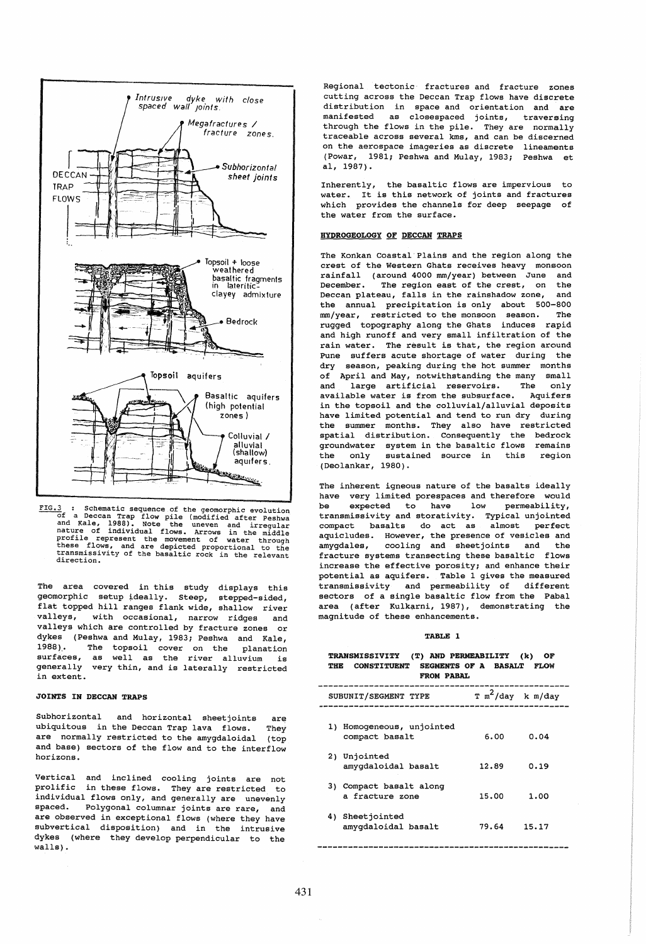

FIG.3 : Schematic sequence of the geomorphic evolution<br>
of a Deccan Trap flow pile (modified after Peshwa and Kale, 1988). Note the uneven and irregular<br>nature of individual flows. Arrows in the middle<br>profile represent the movement of water through<br>these flows, and are depicted proportional to the<br>transmissivity of the basalt

The area covered in this study displays this geomorphic setup ideally. steep, stepped-sided, flat topped hill ranges flank wide, shallow river valleys, with occasional, narrow ridges and valleys which are controlled by fracture zones or dykes (Peshwa and Mulay, 1983; Peshwa and Kale, 1988). The topsoil cover on the planation<br>surfaces, as well as the river alluvium is generally very thin, and is laterally restricted in extent.

# JOINTS IN DECCAN TRAPS

Subhorizontal and horizontal sheetjoints are ubiquitous in the Deccan Trap lava flows. They are normally restricted to the amygdaloidal (top and base) sectors of the flow and to the interflow horizons.

Vertical and inclined cooling joints are not prolific in these flows. They are restricted to individual flows only, and generally are unevenly spaced. Polygonal columnar joints are rare, and are observed in exceptional flows (where they have subvertical disposition) and in the intrusive dykes (where they develop perpendicular to the walls).

Regional tectonic fractures and fracture zones cutting across the Deccan Trap flows have discrete distribution in space and orientation and are manifested as closespaced joints, traversing through the flows in the pile. They are normally traceable across several kms, and can be discerned on the aerospace imageries as discrete lineaments (Powar, 1981; Peshwa and Mulay, 1983; Peshwa et aI, 1987).

Inherently, the basaltic flows are impervious to water. It is this network of joints and fractures which provides the channels for deep seepage of the water from the surface.

## HYDROGEOLOGY OF DECCAN TRAPS

The Konkan Coastal Plains and the region along the crest of the Western Ghats receives heavy monsoon rainfall (around 4000 mm/year) between June and<br>December. The region east of the crest, on the The region east of the crest, on the<br>eau, falls in the rainshadow zone, and Deccan plateau, falls in the rainshadow zone, the annual precipitation is only about 500-800 mm/year, restricted to the monsoon season. The rugged topography along the Ghats induces rapid and high runoff and very small infiltration of the rain water. The result is that, the region around Pune suffers acute shortage of water during the dry season, peaking during the hot summer months of April and May, notwithstanding the many small<br>and large artificial reservoirs. The only large artificial reservoirs. available water is from the subsurface. Aquifers in the topsoil and the colluvial/alluvial deposits have limited potential and tend to run dry during the summer months. They also have restricted spatial distribution. consequently the bedrock groundwater system in the basaltic flows remains<br>the only sustained source in this region only sustained source in this region (Deolankar, 1980).

The inherent igneous nature of the basalts ideally have very limited porespaces and therefore would be expected to have low permeability, transmissivity and storativity. Typical unjointed compact basalts do act as almost perfect aquicludes. However, the presence of vesicles and amygdales, cooling and sheetjoints and the fracture systems transecting these basaltic flows increase the effective porosity; and enhance their potential as aquifers. Table 1 gives the measured transmissivity and permeability of different sectors of a single basaltic flow from the Pabal area (after Kulkarni, 1987), demonstrating the magnitude of these enhancements.

### TABLE 1

| (T) AND PERMEABILITY<br><b>TRANSMISSIVITY</b><br>(k)<br>OF<br><b>CONSTITUENT</b><br>SEGMENTS OF A BASALT<br>THE<br><b>FLOW</b><br>FROM PABAL |                     |       |
|----------------------------------------------------------------------------------------------------------------------------------------------|---------------------|-------|
| SUBUNIT/SEGMENT TYPE                                                                                                                         | $T m^2/day$ k m/day |       |
| Homogeneous, unjointed<br>1)<br>compact basalt                                                                                               | 6.00                | 0.04  |
| Unjointed<br>2١.<br>amyqdaloidal basalt                                                                                                      | 12.89               | 0.19  |
| 3) Compact basalt along<br>a fracture zone                                                                                                   | 15.00               | 1.00  |
| 4) Sheetjointed<br>amyqdaloidal basalt                                                                                                       | 79.64               | 15.17 |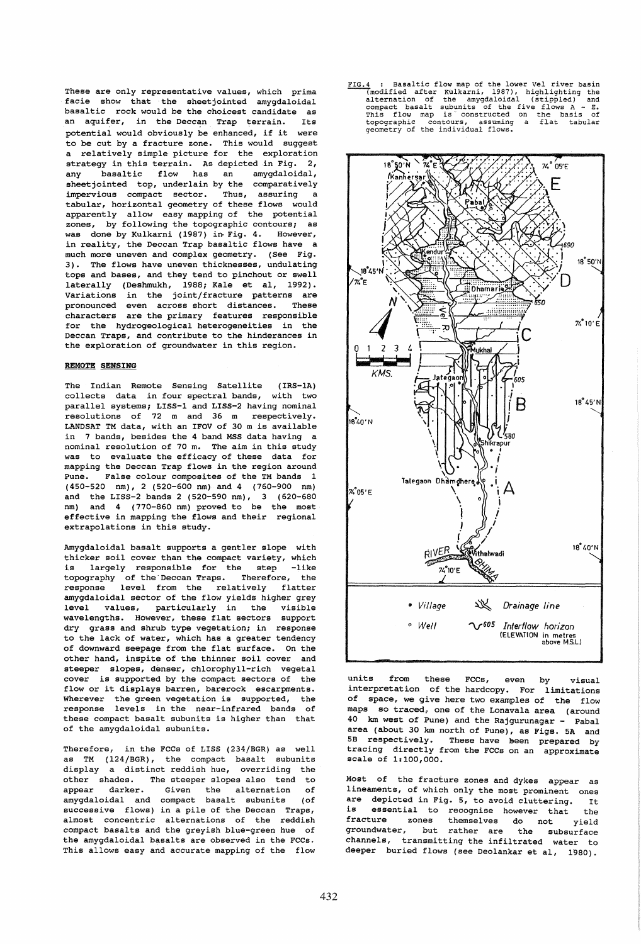These are only representative values, which prima facie show that the sheetjointed amygdaloidal basaltic rock would be the choicest candidate as an aquifer, in the Deccan Trap terrain. Its potential would obviously be enhanced, if it were to be cut by a fracture zone. This would suggest a relatively simple picture for the exploration strategy in this terrain. As depicted in Fig. 2, any basaltic flow has an amygdaloidal, sheet jointed top, underlain by the comparatively<br>impervious compact sector. Thus, assuring a impervious compact sector. tabular, horizontal geometry of these flows would apparently allow easy mapping of the potential zones, by following the topographic contours; as was done by Kulkarni (1987) in Fig. 4. However, in reality, the Deccan Trap basaltic flows have a much more uneven and complex geometry. (See Fig. 3). The flows have uneven thicknesses, undulating tops and bases, and they tend to pinchout or swell laterally (Deshmukh, 1988; Kale et al, 1992). Variations in the joint/fracture patterns are<br>pronounced even across short distances. These pronounced even across short distances. characters are the primary features responsible for the hydrogeological heterogeneities in the Deccan Traps, and contribute to the hinderances in the exploration of groundwater in this region.

### REMOTE SENSING

The Indian Remote Sensing Satellite (IRS-1A) collects data in four spectral bands, with two parallel systems; LISS-1 and LISS-2 having nominal resolutions of 72 m and 36 m respectively. LANDSAT TM data, with an IFOV of 30 m is available in 7 bands, besides the 4 band MSS data having a nominal resolution of 70 m. The aim in this study was to evaluate the efficacy of these data for mapping the Deccan Trap flows in the region around Pune. False colour composites of the TM bands 1 (450-520 nm), 2 (520-600 nm) and 4 (760-900 nm) and the LISS-2 bands 2 (520-590 nm), 3 (620-680 nm) and 4 (770-860 nm) proved to be the most effective in mapping the flows and their regional extrapolations in this study.

Amygdaloidal basalt supports a gentler slope with thicker soil cover than the compact variety, which<br>is largely responsible for the step -like is largely responsible for the step topography of the'Deccan Traps. Therefore, the response level from the relatively flatter amygdaloidal sector of the flow yields higher grey level values, particularly in the visible wavelengths. However, these flat sectors support dry grass and shrub type vegetation; in response to the lack of water, which has a greater tendency of downward seepage from the flat surface. On the other hand, inspite of the thinner soil cover and steeper slopes, denser, chlorophyll-rich vegetal cover is supported by the compact sectors of the flow or it displays barren, barerock escarpments. Wherever the green vegetation is supported, the response levels in the near-infrared bands of these compact basalt subunits is higher than that of the amygdaloidal subunits.

Therefore, in the FCCs of LISS (234/BGR) as well as TM (124/BGR), the compact basalt subunits display a distinct reddish hue, overriding the other shades. The steeper slopes also tend to appear darker. Given the alternation of amygdaloidal and compact basalt subunits (of successive flows) in a pile of the Deccan Traps, almost concentric alternations of the reddish compact basalts and the greyish blue-green hue of the amygdaloidal basalts are observed in the FCCs. This allows easy and accurate mapping of the flow FIG.4 : Basaltic flow map of the lower Vel river basin Interior many of the Ibert Theorem and Conditional Conditional Conditional Conditional Conditional Compact basalt subunits of the five flows  $A - E$ .<br>This flow map is constructed on the basis of the five flows  $A - E$ .<br>This fl



units from these FCCs, even by visual interpretation of the hardcopy. For limitations of space, we give here two examples of the flow maps so traced, one of the Lonavala area (around 40 km west of Pune) and the Rajgurunagar - Pabal area (about 30 km north of Pune), as Figs. 5A and 5B respectively. These have been prepared by tracing directly from the Fces on an approximate scale of 1:100,000.

Most of the fracture zones and dykes appear as lineaments, of which only the most prominent ones are depicted in Fig. 5, to avoid cluttering. It<br>is essential to recognise boyougy that the is essential to recognise however that the<br>fracture zones themselves do not wield zones themselves do not yield groundwater, but rather are the subsurface channels, transmitting the infiltrated water to deeper buried flows (see Deolankar et aI, 1980).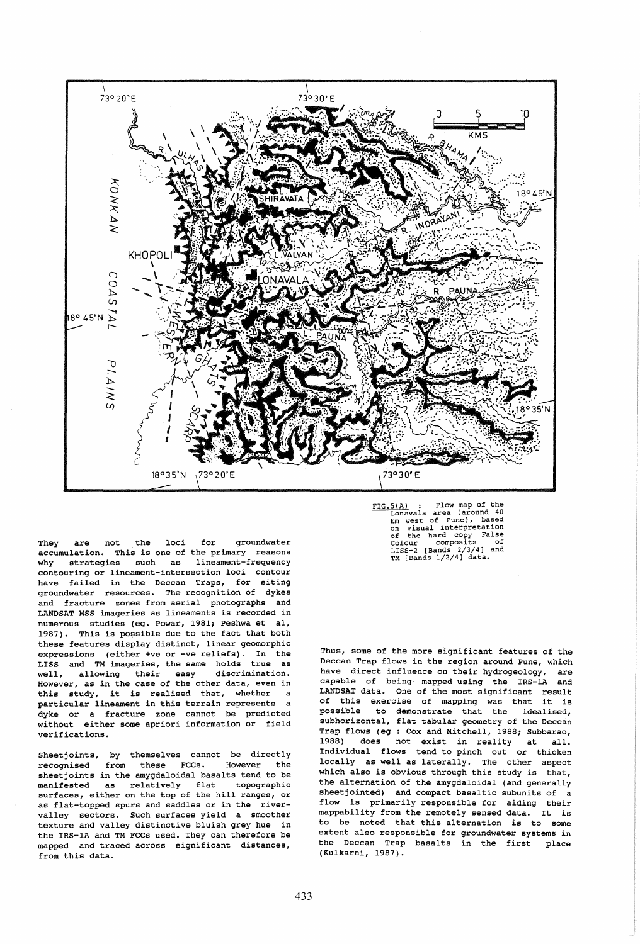

They are not the loci for groundwater accumulation. This is one of the primary reasons<br>why strategies such as lineament-frequency strategies such as contouring or lineament-intersection loci contour have failed in the Deccan Traps, for siting groundwater resources. The recognition of dykes and fracture zones from aerial photographs and LANDSAT MSS imageries as lineaments is recorded in numerous studies (eg. Powar, 1981; Peshwa et al, 1987). This is possible due to the fact that both these features display distinct, linear geomorphic expressions (either +ve or -ve reliefs). In the LISS and TM imageries, the same holds true as well, allowing their easy discrimination. However, as in the case of the other data, even in this study, it is realised that, whether a particular lineament in this terrain represents a dyke or a fracture zone cannot be predicted without either some apriori information or field verifications.

Sheet joints, by themselves cannot be directly recognised from these FCCs. However the sheet joints in the amygdaloidal basalts tend to be manifested as relatively flat topographic surfaces, either on the top of the hill ranges, or as flat-topped spurs and saddles or in the rivervalley sectors. Such surfaces yield a smoother texture and valley distinctive bluish grey hue in the IRS-1A and TM FCCs used. They can therefore be mapped and traced across significant distances, from this data.

FIG.5(A) : Flow map of the Lonavala area (around 40 km west of Pune), based on visual interpretation of the hard copy False Colour composits of LISS-2 [Bands 2/3/4) and TM [Bands 1/2/4] data.

Thus, some of the more significant features of the Deccan Trap flows in the region around Pune, which have direct influence on their hydrogeology, are capable of being- mapped using the IRS-1A and LANDSAT data. One of the most significant result of this exercise of mapping was that it is possible to demonstrate that the idealised, subhorizontal, flat tabular geometry of the Deccan Trap flows (eg : Cox and Mitchell, 1988; Subbarao, 1988) does not exist in reality at all. Individual flows tend to pinch out or thicken locally as well as laterally. The other aspect which also is obvious through this study is that, the alternation of the amygdaloidal (and generally sheet jointed) and compact basaltic subunits of a flow is primarily responsible for aiding their mappability from the remotely sensed data. It is to be noted that this alternation is to some extent also responsible for groundwater systems in the Deccan Trap basalts in the first place (Kulkarni, 1987).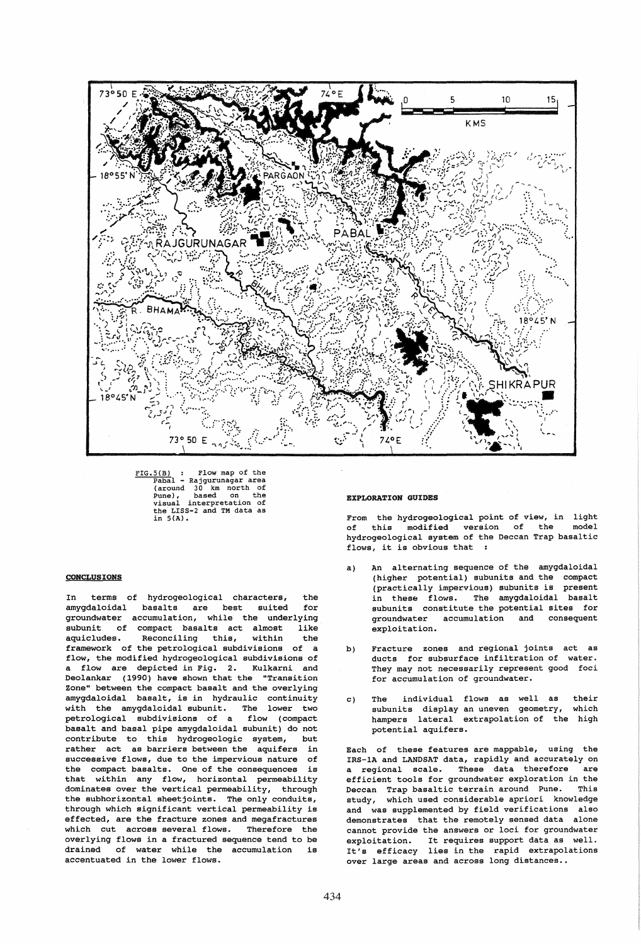

FIG.5(B) : Flow map of the Pabal - Rajgurunagar area (around 30 km north of<br>
( pune), based on the visual interpretation of Punce, based on the<br>pusual interpretation of<br>the LISS-2 and TM data as<br>in 5(A).

### CONCLUSIONS

In terms of hydrogeological characters, the<br>amvodaloidal basalts are best suited for amygdaloidal basalts are best suited groundwater accumulation, while the underlying<br>subunit of compact basalts act almost like subunit of compact basalts act almost aquicludes. Reconciling this, within the framework of the petrological subdivisions of a flow, the modified hydrogeological subdivisions of a flow are depicted in Fig. 2. Kulkarni and Deolankar (1990) have shown that the "Transition Zone" between the compact basalt and the overlying amygdaloidal basalt, is in hydraulic continuity with the amygdaloidal subunit. The lower two petrological subdivisions of a flow (compact basalt and basal pipe amygdaloidal subunit) do not contribute to this hydrogeologic system, but rather act as barriers between the aquifers in successive flows, due to the impervious nature of the compact basalts. One of the consequences is that within any flow, horizontal permeability dominates over the vertical permeability, through the subhorizontal sheetjoints. The only conduits, through which significant vertical permeability is effected, are the fracture zones and megafractures which cut across several flows. Therefore the overlying flows in a fractured sequence tend to be drained of water while the accumulation is accentuated in the lower flows.

### EXPLORATION GUIDES

From the hydrogeological point of view, in light of this modified version of the model hydrogeological system of the Deccan Trap basaltic flows, it is obvious that :

- a) An alternating sequence of the amygdaloidal (higher potential) subunits and the compact (practically impervious) subunits is present in these flows. The amygdaloidal basalt subunits constitute the potential sites for groundwater accumulation and consequent exploitation.
- b) Fracture zones and regional joints act as ducts for subsurface infiltration of water. They may not necessarily represent good foci for accumulation of groundwater.
- c) The individual flows as well as subunits display an uneven geometry, hampers lateral extrapolation of the high potential aquifers. their which

Each of these features are mappable, using the IRS-1A and LANDSAT data, rapidly and accurately on a regional scale. These data therefore efficient tools for groundwater exploration in the Deccan Trap basaltic terrain around Pune. This study, which used considerable apriori knowledge and was supplemented by field verifications also demonstrates that the remotely sensed data alone cannot provide the answers or loci for groundwater exploitation. It requires support data as well. It's efficacy lies in the rapid extrapolations over large areas and across long distances..